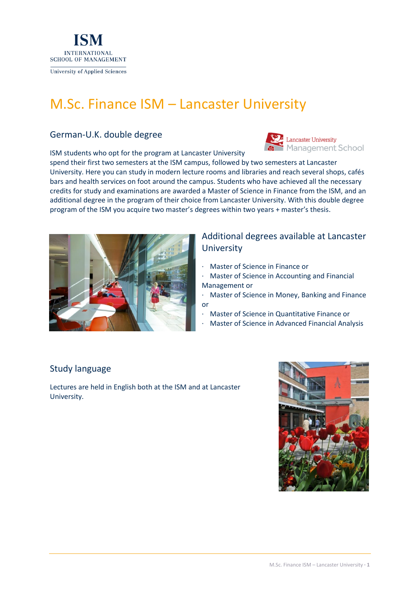

# M.Sc. Finance ISM – Lancaster University

#### German-U.K. double degree

ISM students who opt for the program at Lancaster University

Lancaster University anagement School

spend their first two semesters at the ISM campus, followed by two semesters at Lancaster University. Here you can study in modern lecture rooms and libraries and reach several shops, cafés bars and health services on foot around the campus. Students who have achieved all the necessary credits for study and examinations are awarded a Master of Science in Finance from the ISM, and an additional degree in the program of their choice from Lancaster University. With this double degree program of the ISM you acquire two master's degrees within two years + master's thesis.



### Additional degrees available at Lancaster **University**

- · Master of Science in Finance or
- · Master of Science in Accounting and Financial Management or
- · Master of Science in Money, Banking and Finance or
- · Master of Science in Quantitative Finance or
- Master of Science in Advanced Financial Analysis

#### Study language

Lectures are held in English both at the ISM and at Lancaster University.